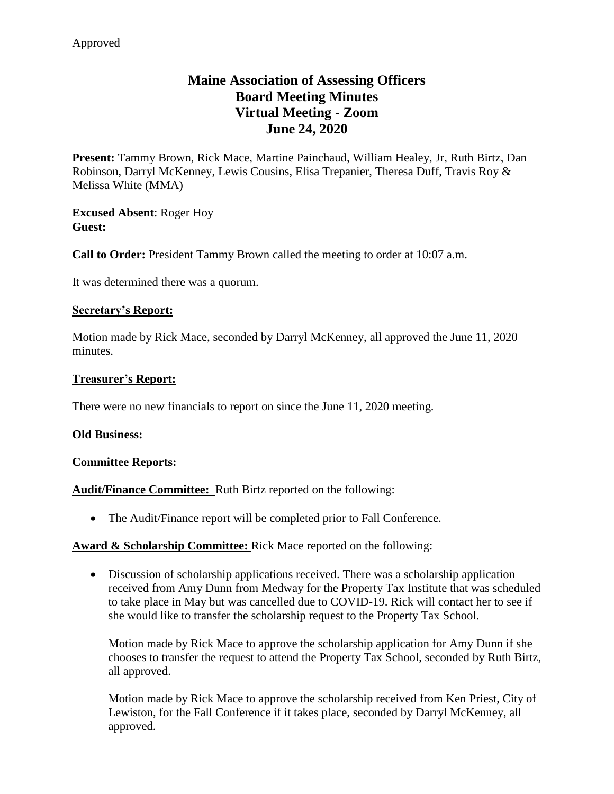# **Maine Association of Assessing Officers Board Meeting Minutes Virtual Meeting - Zoom June 24, 2020**

**Present:** Tammy Brown, Rick Mace, Martine Painchaud, William Healey, Jr, Ruth Birtz, Dan Robinson, Darryl McKenney, Lewis Cousins, Elisa Trepanier, Theresa Duff, Travis Roy & Melissa White (MMA)

**Excused Absent**: Roger Hoy **Guest:**

**Call to Order:** President Tammy Brown called the meeting to order at 10:07 a.m.

It was determined there was a quorum.

### **Secretary's Report:**

Motion made by Rick Mace, seconded by Darryl McKenney, all approved the June 11, 2020 minutes.

### **Treasurer's Report:**

There were no new financials to report on since the June 11, 2020 meeting.

### **Old Business:**

#### **Committee Reports:**

**Audit/Finance Committee:** Ruth Birtz reported on the following:

The Audit/Finance report will be completed prior to Fall Conference.

### Award & Scholarship Committee: Rick Mace reported on the following:

 Discussion of scholarship applications received. There was a scholarship application received from Amy Dunn from Medway for the Property Tax Institute that was scheduled to take place in May but was cancelled due to COVID-19. Rick will contact her to see if she would like to transfer the scholarship request to the Property Tax School.

Motion made by Rick Mace to approve the scholarship application for Amy Dunn if she chooses to transfer the request to attend the Property Tax School, seconded by Ruth Birtz, all approved.

Motion made by Rick Mace to approve the scholarship received from Ken Priest, City of Lewiston, for the Fall Conference if it takes place, seconded by Darryl McKenney, all approved.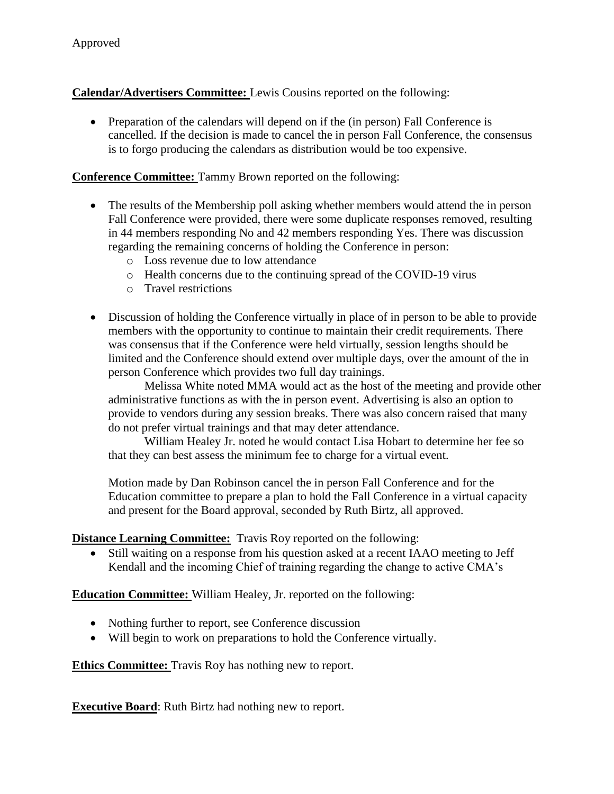**Calendar/Advertisers Committee:** Lewis Cousins reported on the following:

• Preparation of the calendars will depend on if the (in person) Fall Conference is cancelled. If the decision is made to cancel the in person Fall Conference, the consensus is to forgo producing the calendars as distribution would be too expensive.

### **Conference Committee:** Tammy Brown reported on the following:

- The results of the Membership poll asking whether members would attend the in person Fall Conference were provided, there were some duplicate responses removed, resulting in 44 members responding No and 42 members responding Yes. There was discussion regarding the remaining concerns of holding the Conference in person:
	- o Loss revenue due to low attendance
	- o Health concerns due to the continuing spread of the COVID-19 virus
	- o Travel restrictions
- Discussion of holding the Conference virtually in place of in person to be able to provide members with the opportunity to continue to maintain their credit requirements. There was consensus that if the Conference were held virtually, session lengths should be limited and the Conference should extend over multiple days, over the amount of the in person Conference which provides two full day trainings.

Melissa White noted MMA would act as the host of the meeting and provide other administrative functions as with the in person event. Advertising is also an option to provide to vendors during any session breaks. There was also concern raised that many do not prefer virtual trainings and that may deter attendance.

William Healey Jr. noted he would contact Lisa Hobart to determine her fee so that they can best assess the minimum fee to charge for a virtual event.

Motion made by Dan Robinson cancel the in person Fall Conference and for the Education committee to prepare a plan to hold the Fall Conference in a virtual capacity and present for the Board approval, seconded by Ruth Birtz, all approved.

**Distance Learning Committee:** Travis Roy reported on the following:

 Still waiting on a response from his question asked at a recent IAAO meeting to Jeff Kendall and the incoming Chief of training regarding the change to active CMA's

**Education Committee:** William Healey, Jr. reported on the following:

- Nothing further to report, see Conference discussion
- Will begin to work on preparations to hold the Conference virtually.

**Ethics Committee:** Travis Roy has nothing new to report.

**Executive Board**: Ruth Birtz had nothing new to report.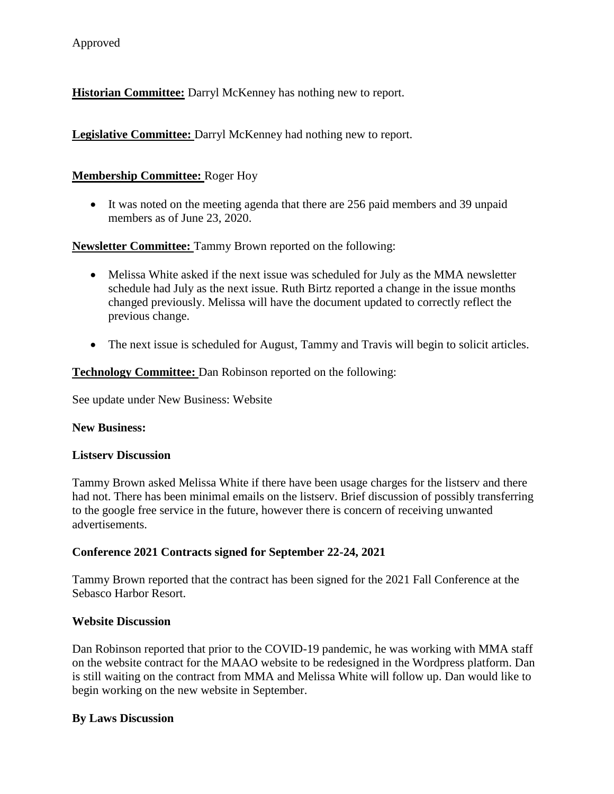**Historian Committee:** Darryl McKenney has nothing new to report.

**Legislative Committee:** Darryl McKenney had nothing new to report.

### **Membership Committee:** Roger Hoy

 It was noted on the meeting agenda that there are 256 paid members and 39 unpaid members as of June 23, 2020.

**Newsletter Committee:** Tammy Brown reported on the following:

- Melissa White asked if the next issue was scheduled for July as the MMA newsletter schedule had July as the next issue. Ruth Birtz reported a change in the issue months changed previously. Melissa will have the document updated to correctly reflect the previous change.
- The next issue is scheduled for August, Tammy and Travis will begin to solicit articles.

**Technology Committee:** Dan Robinson reported on the following:

See update under New Business: Website

### **New Business:**

### **Listserv Discussion**

Tammy Brown asked Melissa White if there have been usage charges for the listserv and there had not. There has been minimal emails on the listserv. Brief discussion of possibly transferring to the google free service in the future, however there is concern of receiving unwanted advertisements.

### **Conference 2021 Contracts signed for September 22-24, 2021**

Tammy Brown reported that the contract has been signed for the 2021 Fall Conference at the Sebasco Harbor Resort.

### **Website Discussion**

Dan Robinson reported that prior to the COVID-19 pandemic, he was working with MMA staff on the website contract for the MAAO website to be redesigned in the Wordpress platform. Dan is still waiting on the contract from MMA and Melissa White will follow up. Dan would like to begin working on the new website in September.

### **By Laws Discussion**